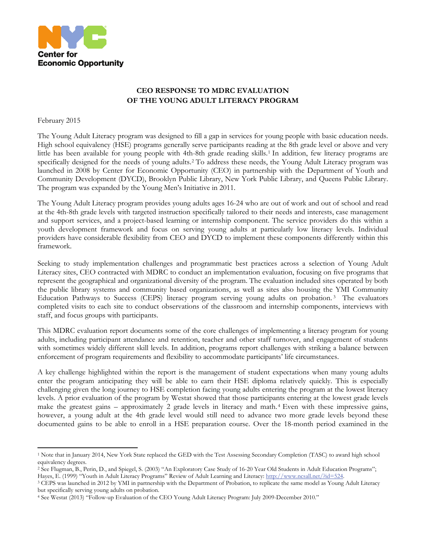

## **CEO RESPONSE TO MDRC EVALUATION OF THE YOUNG ADULT LITERACY PROGRAM**

February 2015

 $\overline{\phantom{a}}$ 

The Young Adult Literacy program was designed to fill a gap in services for young people with basic education needs. High school equivalency (HSE) programs generally serve participants reading at the 8th grade level or above and very little has been available for young people with 4th-8th grade reading skills.<sup>[1](#page-0-0)</sup> In addition, few literacy programs are specifically designed for the needs of young adults.[2](#page-0-1) To address these needs, the Young Adult Literacy program was launched in 2008 by Center for Economic Opportunity (CEO) in partnership with the Department of Youth and Community Development (DYCD), Brooklyn Public Library, New York Public Library, and Queens Public Library. The program was expanded by the Young Men's Initiative in 2011.

The Young Adult Literacy program provides young adults ages 16-24 who are out of work and out of school and read at the 4th-8th grade levels with targeted instruction specifically tailored to their needs and interests, case management and support services, and a project-based learning or internship component. The service providers do this within a youth development framework and focus on serving young adults at particularly low literacy levels. Individual providers have considerable flexibility from CEO and DYCD to implement these components differently within this framework.

Seeking to study implementation challenges and programmatic best practices across a selection of Young Adult Literacy sites, CEO contracted with MDRC to conduct an implementation evaluation, focusing on five programs that represent the geographical and organizational diversity of the program. The evaluation included sites operated by both the public library systems and community based organizations, as well as sites also housing the YMI Community Education Pathways to Success (CEPS) literacy program serving young adults on probation. [3](#page-0-2) The evaluators completed visits to each site to conduct observations of the classroom and internship components, interviews with staff, and focus groups with participants.

This MDRC evaluation report documents some of the core challenges of implementing a literacy program for young adults, including participant attendance and retention, teacher and other staff turnover, and engagement of students with sometimes widely different skill levels. In addition, programs report challenges with striking a balance between enforcement of program requirements and flexibility to accommodate participants' life circumstances.

A key challenge highlighted within the report is the management of student expectations when many young adults enter the program anticipating they will be able to earn their HSE diploma relatively quickly. This is especially challenging given the long journey to HSE completion facing young adults entering the program at the lowest literacy levels. A prior evaluation of the program by Westat showed that those participants entering at the lowest grade levels make the greatest gains – approximately 2 grade levels in literacy and math. [4](#page-0-3) Even with these impressive gains, however, a young adult at the 4th grade level would still need to advance two more grade levels beyond these documented gains to be able to enroll in a HSE preparation course. Over the 18-month period examined in the

<span id="page-0-0"></span><sup>1</sup> Note that in January 2014, New York State replaced the GED with the Test Assessing Secondary Completion (TASC) to award high school equivalency degrees.

<span id="page-0-1"></span><sup>2</sup> See Flugman, B., Perin, D., and Spiegel, S. (2003) "An Exploratory Case Study of 16-20 Year Old Students in Adult Education Programs"; Hayes, E. (1999) "Youth in Adult Literacy Programs" Review of Adult Learning and Literacy[: http://www.ncsall.net/?id=524.](http://www.ncsall.net/?id=524)<br><sup>3</sup> CEPS was launched in 2012 by YMI in partnership with the Department of Probation, to replicate t

<span id="page-0-2"></span>but specifically serving young adults on probation. 4 See Westat (2013) "Follow-up Evaluation of the CEO Young Adult Literacy Program: July 2009-December 2010."

<span id="page-0-3"></span>